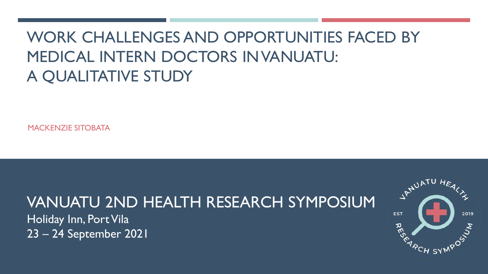# WORK CHALLENGES AND OPPORTUNITIES FACED BY MEDICAL INTERN DOCTORS IN VANUATU: A QUALITATIVE STUDY

MACKENZIE SITOBATA

# VANUATU 2ND HEALTH RESEARCH SYMPOSIUM

Holiday Inn, Port Vila 23 – 24 September 2021

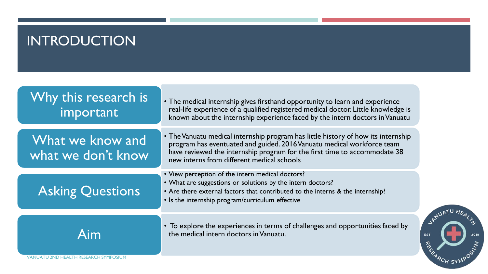### INTRODUCTION

| Why this research is<br>important                   | • The medical internship gives firsthand opportunity to learn and experience<br>real-life experience of a qualified registered medical doctor. Little knowledge is<br>known about the internship experience faced by the intern doctors in Vanuatu                                     |            |
|-----------------------------------------------------|----------------------------------------------------------------------------------------------------------------------------------------------------------------------------------------------------------------------------------------------------------------------------------------|------------|
| What we know and<br>what we don't know              | • The Vanuatu medical internship program has little history of how its internship<br>program has eventuated and guided. 2016 Vanuatu medical workforce team<br>have reviewed the internship program for the first time to accommodate 38<br>new interns from different medical schools |            |
| <b>Asking Questions</b>                             | • View perception of the intern medical doctors?<br>• What are suggestions or solutions by the intern doctors?<br>• Are there external factors that contributed to the interns & the internship?<br>• Is the internship program/curriculum effective                                   |            |
| Aim<br><b>VANUATU 2ND HEALTH RESEARCH SYMPOSIUN</b> | • To explore the experiences in terms of challenges and opportunities faced by<br>the medical intern doctors in Vanuatu.                                                                                                                                                               | <b>EST</b> |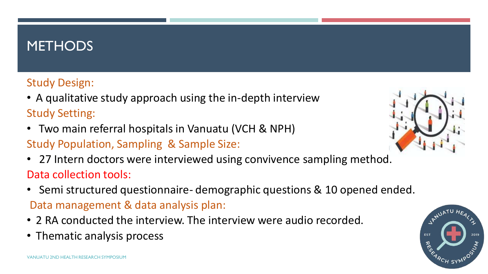### **METHODS**

#### Study Design:

- A qualitative study approach using the in-depth interview Study Setting:
- Two main referral hospitals in Vanuatu (VCH & NPH)
- Study Population, Sampling & Sample Size:
- 27 Intern doctors were interviewed using convivence sampling method. Data collection tools:
- Semi structured questionnaire- demographic questions & 10 opened ended. Data management & data analysis plan:
- 2 RA conducted the interview. The interview were audio recorded.
- Thematic analysis process



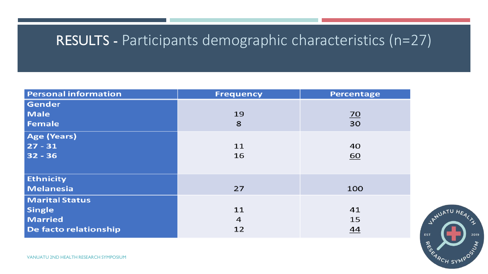### RESULTS - Participants demographic characteristics (n=27)

| <b>Personal information</b> | <b>Frequency</b> | Percentage      |
|-----------------------------|------------------|-----------------|
| Gender                      |                  |                 |
| <b>Male</b>                 | 19               | $\overline{20}$ |
| <b>Female</b>               | 8                | 30              |
| <b>Age (Years)</b>          |                  |                 |
| $27 - 31$                   | 11               | 40              |
| $32 - 36$                   | 16               | <u>60</u>       |
|                             |                  |                 |
| <b>Ethnicity</b>            |                  |                 |
| <b>Melanesia</b>            | 27               | 100             |
| <b>Marital Status</b>       |                  |                 |
| <b>Single</b>               | 11               | 41              |
| <b>Married</b>              | 4                | 15              |
| De facto relationship       | 12               | 44              |

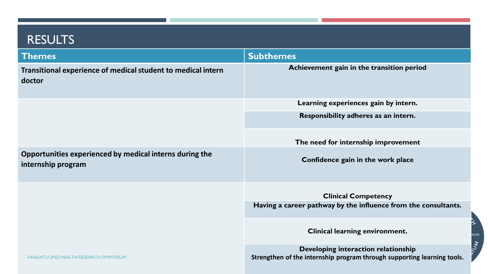#### RESULTS

| <b>Themes</b>                                                                 | <b>Subthemes</b>                                                                                               |
|-------------------------------------------------------------------------------|----------------------------------------------------------------------------------------------------------------|
| Transitional experience of medical student to medical intern<br>doctor        | Achievement gain in the transition period                                                                      |
|                                                                               | Learning experiences gain by intern.                                                                           |
|                                                                               | Responsibility adheres as an intern.                                                                           |
|                                                                               | The need for internship improvement                                                                            |
| Opportunities experienced by medical interns during the<br>internship program | Confidence gain in the work place                                                                              |
|                                                                               | <b>Clinical Competency</b>                                                                                     |
|                                                                               | Having a career pathway by the influence from the consultants.                                                 |
|                                                                               | <b>Clinical learning environment.</b>                                                                          |
| <b>VANUATU 2ND HEALTH RESEARCH SYMPOSIUM</b>                                  | Developing interaction relationship<br>Strengthen of the internship program through supporting learning tools. |

く

2019

**WOIC**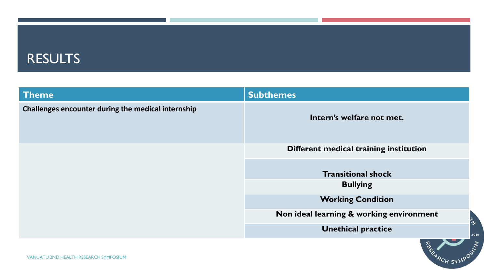#### RESULTS

| <b>Theme</b>                                       | <b>Subthemes</b>                             |      |
|----------------------------------------------------|----------------------------------------------|------|
| Challenges encounter during the medical internship | Intern's welfare not met.                    |      |
|                                                    | Different medical training institution       |      |
|                                                    | <b>Transitional shock</b><br><b>Bullying</b> |      |
|                                                    | <b>Working Condition</b>                     |      |
|                                                    | Non ideal learning & working environment     | ゚゚   |
|                                                    | <b>Unethical practice</b>                    | 2019 |
|                                                    |                                              |      |

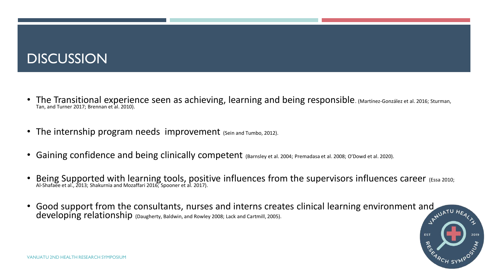### **DISCUSSION**

- The Transitional experience seen as achieving, learning and being responsible. (Martínez-González et al. 2016; Sturman, Tan, and Turner 2017; Brennan et al. 2010).
- The internship program needs improvement (Sein and Tumbo, 2012).
- Gaining confidence and being clinically competent (Barnsley et al. 2004; Premadasa et al. 2008; O'Dowd et al. 2020).
- Being Supported with learning tools, positive influences from the supervisors influences career (Essa 2010; Al-Shafaee et al., 2013; Shakurnia and Mozaffari 2016; Spooner et al. 2017).
- Good support from the consultants, nurses and interns creates clinical learning environment and the developing relationship (Daugherty, Baldwin, and Rowley 2008; Lack and Cartmill, 2005). developing relationship (Daugherty, Baldwin, and Rowley 2008; Lack and Cartmill, 2005).

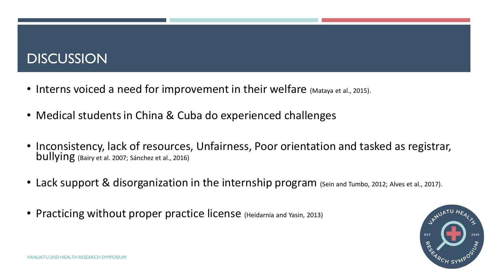### **DISCUSSION**

- Interns voiced a need for improvement in their welfare (Mataya et al., 2015).
- Medical students in China & Cuba do experienced challenges
- Inconsistency, lack of resources, Unfairness, Poor orientation and tasked as registrar, bullying (Bairy et al. 2007; Sánchez et al., 2016)
- Lack support & disorganization in the internship program (Sein and Tumbo, 2012; Alves et al., 2017).
- Practicing without proper practice license (Heidarnia and Yasin, 2013)

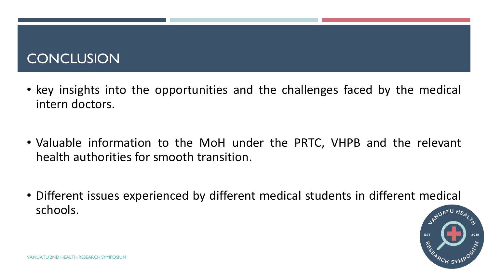### **CONCLUSION**

- key insights into the opportunities and the challenges faced by the medical intern doctors.
- Valuable information to the MoH under the PRTC, VHPB and the relevant health authorities for smooth transition.
- Different issues experienced by different medical students in different medical schools.

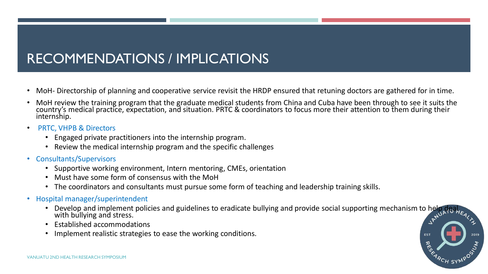### RECOMMENDATIONS / IMPLICATIONS

- MoH- Directorship of planning and cooperative service revisit the HRDP ensured that retuning doctors are gathered for in time.
- MoH review the training program that the graduate medical students from China and Cuba have been through to see it suits the country's medical practice, expectation, and situation. PRTC & coordinators to focus more their attention to them during their internship.
- PRTC, VHPB & Directors
	- Engaged private practitioners into the internship program.
	- Review the medical internship program and the specific challenges
- Consultants/Supervisors
	- Supportive working environment, Intern mentoring, CMEs, orientation
	- Must have some form of consensus with the MoH
	- The coordinators and consultants must pursue some form of teaching and leadership training skills.
- Hospital manager/superintendent
	- Develop and implement policies and guidelines to eradicate bullying and provide social supporting mechanism to help deal, with bullying and stress.
	- Established accommodations
	- Implement realistic strategies to ease the working conditions.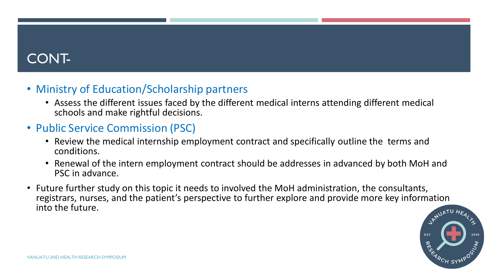### CONT-

#### • Ministry of Education/Scholarship partners

- Assess the different issues faced by the different medical interns attending different medical schools and make rightful decisions.
- Public Service Commission (PSC)
	- Review the medical internship employment contract and specifically outline the terms and conditions.
	- Renewal of the intern employment contract should be addresses in advanced by both MoH and PSC in advance.
- Future further study on this topic it needs to involved the MoH administration, the consultants, registrars, nurses, and the patient's perspective to further explore and provide more key information into the future.

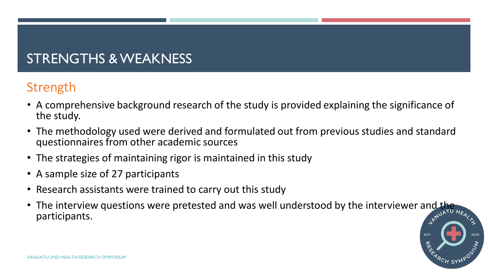## STRENGTHS & WEAKNESS

### Strength

- A comprehensive background research of the study is provided explaining the significance of the study.
- The methodology used were derived and formulated out from previous studies and standard questionnaires from other academic sources
- The strategies of maintaining rigor is maintained in this study
- A sample size of 27 participants
- Research assistants were trained to carry out this study
- The interview questions were pretested and was well understood by the interviewer and the participants.

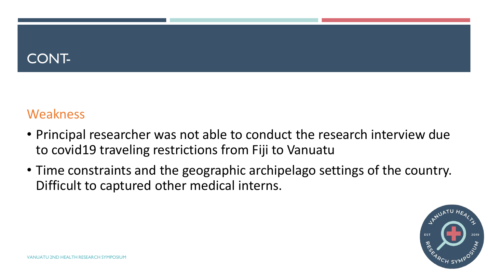### CONT-

#### Weakness

- Principal researcher was not able to conduct the research interview due to covid19 traveling restrictions from Fiji to Vanuatu
- Time constraints and the geographic archipelago settings of the country. Difficult to captured other medical interns.

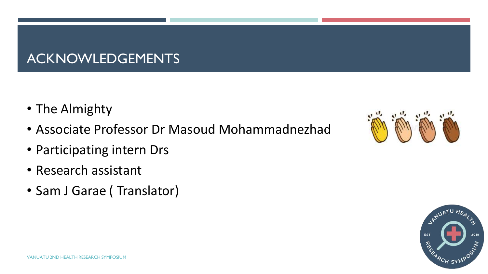### ACKNOWLEDGEMENTS

- The Almighty
- Associate Professor Dr Masoud Mohammadnezhad
- Participating intern Drs
- Research assistant
- Sam J Garae ( Translator)



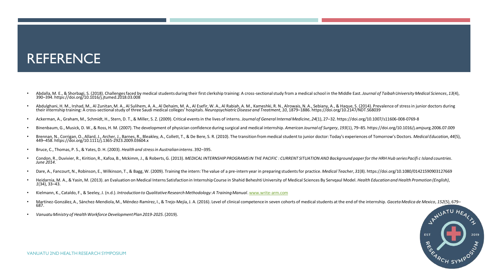#### REFERENCE

- Abdalla, M. E., & Shorbagi, S. (2018). Challenges faced by medical students during their first clerkship training: A cross-sectional study from a medical school in the Middle East. Journal of Taibah University Medical Sc
- Abdulghani, H. M., Irshad, M., Al Zunitan, M. A., Al Sulihem, A. A., Al Dehaim, M. A., Al Esefir, W. A., Al Rabiah, A. M., Kameshki, R. N., Alrowais, N. A., Sebiany, A., & Haque, S. (2014). Prevalence of stress in junior
- Ackerman, A., Graham, M., Schmidt, H., Stern, D. T., & Miller, S. Z. (2009). Critical events in the lives of interns. Journal of General Internal Medicine, 24(1), 27-32. https://doi.org/10.1007/s11606-008-0769-8
- Binenbaum, G., Musick, D. W., & Ross, H. M. (2007). The development of physician confidence during surgical and medical internship. American Journal of Surgery, 193(1), 79-85. https://doi.org/10.1016/j.amjsurg.2006.07.009
- Brennan, N., Corrigan, O., Allard, J., Archer, J., Barnes, R., Bleakley, A., Collett, T., & De Bere, S. R. (2010). The transition from medical student to junior doctor: Today's experiences of Tomorrow's Doctors. Medical Ed 449–458. https://doi.org/10.1111/j.1365-2923.2009.03604.x
- Bruce, C., Thomas, P. S., & Yates, D. H. (2003). *Health and stress in Australian interns*. 392–395.
- Condon, R., Duvivier, R., Kirition, R., Kafoa, B., Mckimm, J., & Roberts, G. (2013). MEDICAL INTERNSHIP PROGRAMS IN THE PACIFIC : CURRENT SITUATION AND Background paper for the HRH Hub series Pacific Island countries. *June 2014*.
- Dare, A., Fancourt, N., Robinson, E., Wilkinson, T., & Bagg, W. (2009). Training the intern: The value of a pre-intern year in preparing students for practice. Medical Teacher, 31(8). https://doi.org/10.1080/01421590903127
- Heidarnia, M. A., & Yasin, M. (2013). an Evaluation on Medical Interns Satisfaction in Internship Course in Shahid Beheshti University of Medical Sciences By Servgaul Model. Health Education and Health Promotion (English), *1*(34), 33–43.
- Kielmann, K., Cataldo, F., & Seeley, J. (n.d.). *Introduction to Qualitative Research Methodology: A Training Manual*. [www.write-arm.com](http://www.write-arm.com/)
- Martínez-González, A., Sánchez-Mendiola, M., Méndez-Ramírez, I., & Trejo-Mejía, J. A. (2016). Level of clinical competence in seven cohorts of medical students at the end of the internship. *Gaceta Medica de Mexico*, 152(5 687.
- *Vanuatu Ministry of Health Workforce Development Plan 2019-2025*. (2019).